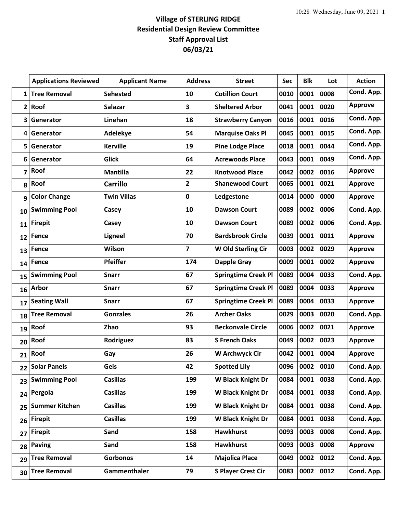## **Village of STERLING RIDGE Residential Design Review Committee Staff Approval List 06/03/21**

|              | <b>Applications Reviewed</b> | <b>Applicant Name</b> | <b>Address</b> | <b>Street</b>              | <b>Sec</b> | <b>Blk</b> | Lot  | <b>Action</b>  |
|--------------|------------------------------|-----------------------|----------------|----------------------------|------------|------------|------|----------------|
| 1            | <b>Tree Removal</b>          | <b>Sehested</b>       | 10             | <b>Cotillion Court</b>     | 0010       | 0001       | 0008 | Cond. App.     |
| $\mathbf{2}$ | Roof                         | <b>Salazar</b>        | 3              | <b>Sheltered Arbor</b>     | 0041       | 0001       | 0020 | <b>Approve</b> |
| 3            | Generator                    | Linehan               | 18             | <b>Strawberry Canyon</b>   | 0016       | 0001       | 0016 | Cond. App.     |
| 4            | Generator                    | Adelekye              | 54             | <b>Marquise Oaks Pl</b>    | 0045       | 0001       | 0015 | Cond. App.     |
| 5            | Generator                    | <b>Kerville</b>       | 19             | <b>Pine Lodge Place</b>    | 0018       | 0001       | 0044 | Cond. App.     |
| 6            | Generator                    | <b>Glick</b>          | 64             | <b>Acrewoods Place</b>     | 0043       | 0001       | 0049 | Cond. App.     |
| 7            | Roof                         | <b>Mantilla</b>       | 22             | <b>Knotwood Place</b>      | 0042       | 0002       | 0016 | <b>Approve</b> |
| 8            | Roof                         | <b>Carrillo</b>       | $\overline{2}$ | <b>Shanewood Court</b>     | 0065       | 0001       | 0021 | <b>Approve</b> |
| 9            | <b>Color Change</b>          | <b>Twin Villas</b>    | $\mathbf 0$    | Ledgestone                 | 0014       | 0000       | 0000 | <b>Approve</b> |
| 10           | <b>Swimming Pool</b>         | Casey                 | 10             | <b>Dawson Court</b>        | 0089       | 0002       | 0006 | Cond. App.     |
| 11           | <b>Firepit</b>               | Casey                 | 10             | <b>Dawson Court</b>        | 0089       | 0002       | 0006 | Cond. App.     |
| 12           | Fence                        | <b>Ligneel</b>        | 70             | <b>Bardsbrook Circle</b>   | 0039       | 0001       | 0011 | <b>Approve</b> |
| 13           | Fence                        | Wilson                | 7              | W Old Sterling Cir         | 0003       | 0002       | 0029 | <b>Approve</b> |
| 14           | Fence                        | <b>Pfeiffer</b>       | 174            | <b>Dapple Gray</b>         | 0009       | 0001       | 0002 | <b>Approve</b> |
| 15           | <b>Swimming Pool</b>         | <b>Snarr</b>          | 67             | <b>Springtime Creek Pl</b> | 0089       | 0004       | 0033 | Cond. App.     |
| 16           | <b>Arbor</b>                 | <b>Snarr</b>          | 67             | <b>Springtime Creek Pl</b> | 0089       | 0004       | 0033 | <b>Approve</b> |
| 17           | <b>Seating Wall</b>          | <b>Snarr</b>          | 67             | <b>Springtime Creek Pl</b> | 0089       | 0004       | 0033 | <b>Approve</b> |
| 18           | <b>Tree Removal</b>          | <b>Gonzales</b>       | 26             | <b>Archer Oaks</b>         | 0029       | 0003       | 0020 | Cond. App.     |
| 19           | Roof                         | Zhao                  | 93             | <b>Beckonvale Circle</b>   | 0006       | 0002       | 0021 | <b>Approve</b> |
| 20           | Roof                         | Rodriguez             | 83             | <b>S French Oaks</b>       | 0049       | 0002       | 0023 | <b>Approve</b> |
| 21           | Roof                         | Gay                   | 26             | <b>W Archwyck Cir</b>      | 0042       | 0001       | 0004 | <b>Approve</b> |
| 22           | <b>Solar Panels</b>          | Geis                  | 42             | <b>Spotted Lily</b>        | 0096       | 0002       | 0010 | Cond. App.     |
| 23           | <b>Swimming Pool</b>         | <b>Casillas</b>       | 199            | W Black Knight Dr          | 0084       | 0001       | 0038 | Cond. App.     |
| 24           | Pergola                      | <b>Casillas</b>       | 199            | <b>W Black Knight Dr</b>   | 0084       | 0001       | 0038 | Cond. App.     |
| 25           | <b>Summer Kitchen</b>        | <b>Casillas</b>       | 199            | <b>W Black Knight Dr</b>   | 0084       | 0001       | 0038 | Cond. App.     |
| 26           | <b>Firepit</b>               | <b>Casillas</b>       | 199            | W Black Knight Dr          | 0084       | 0001       | 0038 | Cond. App.     |
| 27           | <b>Firepit</b>               | Sand                  | 158            | <b>Hawkhurst</b>           | 0093       | 0003       | 0008 | Cond. App.     |
| 28           | <b>Paving</b>                | Sand                  | 158            | <b>Hawkhurst</b>           | 0093       | 0003       | 0008 | <b>Approve</b> |
| 29           | <b>Tree Removal</b>          | Gorbonos              | 14             | <b>Majolica Place</b>      | 0049       | 0002       | 0012 | Cond. App.     |
| 30           | <b>Tree Removal</b>          | Gammenthaler          | 79             | <b>S Player Crest Cir</b>  | 0083       | 0002       | 0012 | Cond. App.     |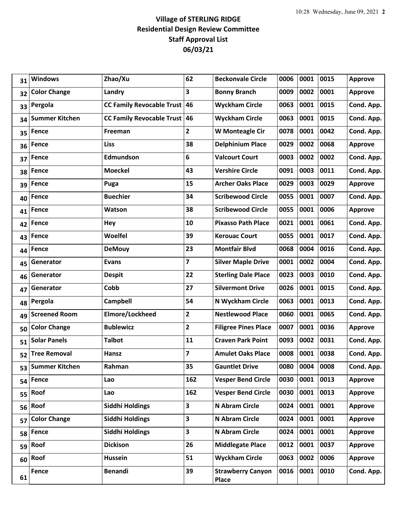## **Village of STERLING RIDGE Residential Design Review Committee Staff Approval List 06/03/21**

| 31 | <b>Windows</b>        | Zhao/Xu                             | 62             | <b>Beckonvale Circle</b>                 | 0006 | 0001 | 0015 | <b>Approve</b> |
|----|-----------------------|-------------------------------------|----------------|------------------------------------------|------|------|------|----------------|
| 32 | <b>Color Change</b>   | Landry                              | 3              | <b>Bonny Branch</b>                      | 0009 | 0002 | 0001 | <b>Approve</b> |
| 33 | Pergola               | <b>CC Family Revocable Trust 46</b> |                | <b>Wyckham Circle</b>                    | 0063 | 0001 | 0015 | Cond. App.     |
| 34 | <b>Summer Kitchen</b> | <b>CC Family Revocable Trust</b>    | 46             | <b>Wyckham Circle</b>                    | 0063 | 0001 | 0015 | Cond. App.     |
| 35 | Fence                 | Freeman                             | $\overline{2}$ | <b>W Monteagle Cir</b>                   | 0078 | 0001 | 0042 | Cond. App.     |
| 36 | <b>Fence</b>          | <b>Liss</b>                         | 38             | <b>Delphinium Place</b>                  | 0029 | 0002 | 0068 | <b>Approve</b> |
| 37 | <b>Fence</b>          | Edmundson                           | 6              | <b>Valcourt Court</b>                    | 0003 | 0002 | 0002 | Cond. App.     |
| 38 | <b>Fence</b>          | <b>Moeckel</b>                      | 43             | <b>Vershire Circle</b>                   | 0091 | 0003 | 0011 | Cond. App.     |
| 39 | <b>Fence</b>          | Puga                                | 15             | <b>Archer Oaks Place</b>                 | 0029 | 0003 | 0029 | <b>Approve</b> |
| 40 | <b>Fence</b>          | <b>Buechier</b>                     | 34             | <b>Scribewood Circle</b>                 | 0055 | 0001 | 0007 | Cond. App.     |
| 41 | <b>Fence</b>          | <b>Watson</b>                       | 38             | <b>Scribewood Circle</b>                 | 0055 | 0001 | 0006 | <b>Approve</b> |
| 42 | <b>Fence</b>          | <b>Hey</b>                          | 10             | <b>Pixasso Path Place</b>                | 0021 | 0001 | 0061 | Cond. App.     |
| 43 | <b>Fence</b>          | Woelfel                             | 39             | <b>Kerouac Court</b>                     | 0055 | 0001 | 0017 | Cond. App.     |
| 44 | <b>Fence</b>          | <b>DeMouy</b>                       | 23             | <b>Montfair Blvd</b>                     | 0068 | 0004 | 0016 | Cond. App.     |
| 45 | Generator             | <b>Evans</b>                        | 7              | <b>Silver Maple Drive</b>                | 0001 | 0002 | 0004 | Cond. App.     |
| 46 | Generator             | <b>Despit</b>                       | 22             | <b>Sterling Dale Place</b>               | 0023 | 0003 | 0010 | Cond. App.     |
| 47 | Generator             | Cobb                                | 27             | <b>Silvermont Drive</b>                  | 0026 | 0001 | 0015 | Cond. App.     |
| 48 | Pergola               | <b>Campbell</b>                     | 54             | N Wyckham Circle                         | 0063 | 0001 | 0013 | Cond. App.     |
| 49 | <b>Screened Room</b>  | Elmore/Lockheed                     | $\mathbf{2}$   | <b>Nestlewood Place</b>                  | 0060 | 0001 | 0065 | Cond. App.     |
| 50 | <b>Color Change</b>   | <b>Bublewicz</b>                    | $\mathbf{2}$   | <b>Filigree Pines Place</b>              | 0007 | 0001 | 0036 | <b>Approve</b> |
| 51 | <b>Solar Panels</b>   | <b>Talbot</b>                       | 11             | <b>Craven Park Point</b>                 | 0093 | 0002 | 0031 | Cond. App.     |
| 52 | <b>Tree Removal</b>   | Hansz                               | $\overline{7}$ | <b>Amulet Oaks Place</b>                 | 0008 | 0001 | 0038 | Cond. App.     |
| 53 | <b>Summer Kitchen</b> | Rahman                              | 35             | <b>Gauntlet Drive</b>                    | 0080 | 0004 | 0008 | Cond. App.     |
| 54 | <b>Fence</b>          | Lao                                 | 162            | <b>Vesper Bend Circle</b>                | 0030 | 0001 | 0013 | <b>Approve</b> |
| 55 | Roof                  | Lao                                 | 162            | <b>Vesper Bend Circle</b>                | 0030 | 0001 | 0013 | <b>Approve</b> |
| 56 | Roof                  | <b>Siddhi Holdings</b>              | 3              | N Abram Circle                           | 0024 | 0001 | 0001 | <b>Approve</b> |
| 57 | <b>Color Change</b>   | Siddhi Holdings                     | 3              | N Abram Circle                           | 0024 | 0001 | 0001 | <b>Approve</b> |
| 58 | <b>Fence</b>          | <b>Siddhi Holdings</b>              | 3              | N Abram Circle                           | 0024 | 0001 | 0001 | <b>Approve</b> |
| 59 | Roof                  | <b>Dickison</b>                     | 26             | <b>Middlegate Place</b>                  | 0012 | 0001 | 0037 | Approve        |
| 60 | Roof                  | Hussein                             | 51             | <b>Wyckham Circle</b>                    | 0063 | 0002 | 0006 | <b>Approve</b> |
| 61 | Fence                 | <b>Benandi</b>                      | 39             | <b>Strawberry Canyon</b><br><b>Place</b> | 0016 | 0001 | 0010 | Cond. App.     |